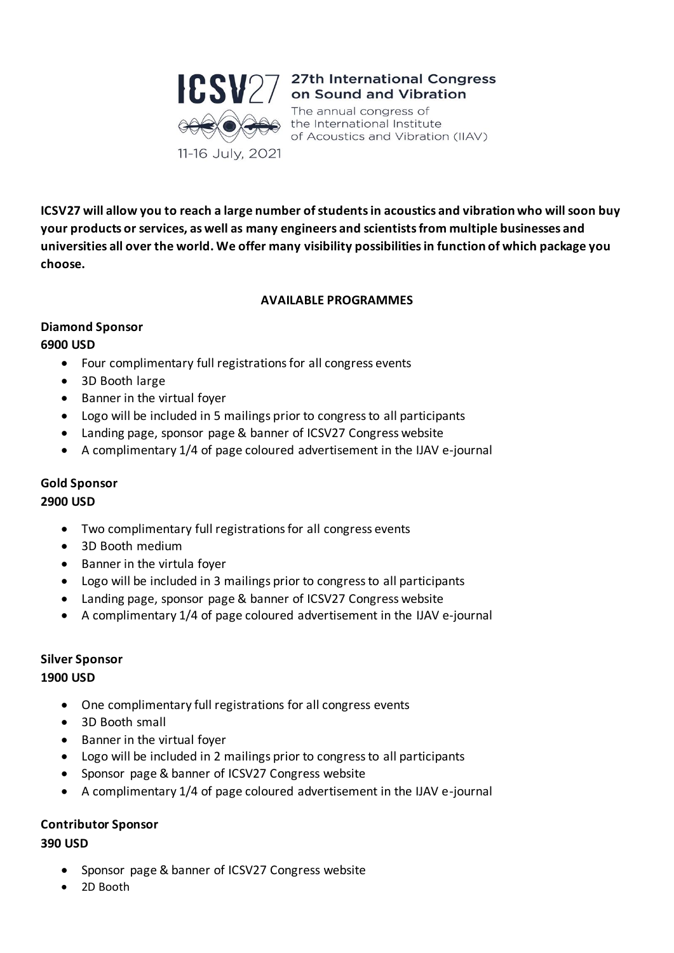

# **CSV**27 <sup>27th International Congress<br>on Sound and Vibration</sup>

The annual congress of the International Institute of Acoustics and Vibration (IIAV)

**ICSV27 will allow you to reach a large number of students in acoustics and vibration who will soon buy your products or services, as well as many engineers and scientists from multiple businesses and universities all over the world. We offer many visibility possibilities in function of which package you choose.**

# **AVAILABLE PROGRAMMES**

## **Diamond Sponsor 6900 USD**

- Four complimentary full registrations for all congress events
- 3D Booth large
- Banner in the virtual foyer
- Logo will be included in 5 mailings prior to congress to all participants
- Landing page, sponsor page & banner of ICSV27 Congress website
- A complimentary 1/4 of page coloured advertisement in the IJAV e-journal

# **Gold Sponsor**

# **2900 USD**

- Two complimentary full registrations for all congress events
- 3D Booth medium
- Banner in the virtula foyer
- Logo will be included in 3 mailings prior to congress to all participants
- Landing page, sponsor page & banner of ICSV27 Congress website
- A complimentary 1/4 of page coloured advertisement in the IJAV e-journal

# **Silver Sponsor**

# **1900 USD**

- One complimentary full registrations for all congress events
- 3D Booth small
- Banner in the virtual foyer
- Logo will be included in 2 mailings prior to congress to all participants
- Sponsor page & banner of ICSV27 Congress website
- A complimentary 1/4 of page coloured advertisement in the IJAV e-journal

# **Contributor Sponsor**

# **390 USD**

- Sponsor page & banner of ICSV27 Congress website
- 2D Booth